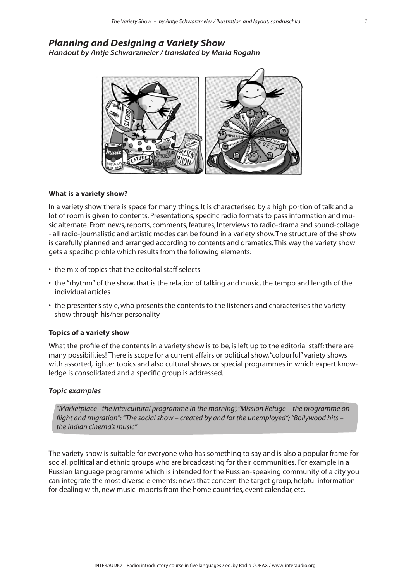# *Planning and Designing a Variety Show*

*Handout by Antje Schwarzmeier / translated by Maria Rogahn*



# **What is a variety show?**

In a variety show there is space for many things. It is characterised by a high portion of talk and a lot of room is given to contents. Presentations, specific radio formats to pass information and music alternate. From news, reports, comments, features, Interviews to radio-drama and sound-collage - all radio-journalistic and artistic modes can be found in a variety show. The structure of the show is carefully planned and arranged according to contents and dramatics. This way the variety show gets a specific profile which results from the following elements:

- the mix of topics that the editorial staff selects
- the "rhythm" of the show, that is the relation of talking and music, the tempo and length of the individual articles
- the presenter's style, who presents the contents to the listeners and characterises the variety show through his/her personality

# **Topics of a variety show**

What the profile of the contents in a variety show is to be, is left up to the editorial staff; there are many possibilities! There is scope for a current affairs or political show, "colourful" variety shows with assorted, lighter topics and also cultural shows or special programmes in which expert knowledge is consolidated and a specific group is addressed.

#### *Topic examples*

*"Marketplace– the intercultural programme in the morning", "Mission Refuge – the programme on flight and migration"; "The social show – created by and for the unemployed"; "Bollywood hits – the Indian cinema's music"*

The variety show is suitable for everyone who has something to say and is also a popular frame for social, political and ethnic groups who are broadcasting for their communities. For example in a Russian language programme which is intended for the Russian-speaking community of a city you can integrate the most diverse elements: news that concern the target group, helpful information for dealing with, new music imports from the home countries, event calendar, etc.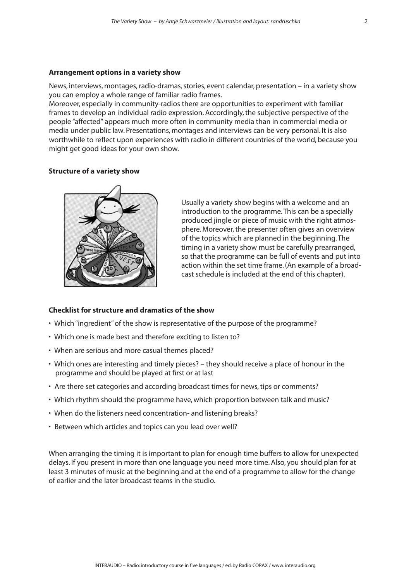#### **Arrangement options in a variety show**

News, interviews, montages, radio-dramas, stories, event calendar, presentation – in a variety show you can employ a whole range of familiar radio frames.

Moreover, especially in community-radios there are opportunities to experiment with familiar frames to develop an individual radio expression. Accordingly, the subjective perspective of the people "affected" appears much more often in community media than in commercial media or media under public law. Presentations, montages and interviews can be very personal. It is also worthwhile to reflect upon experiences with radio in different countries of the world, because you might get good ideas for your own show.

### **Structure of a variety show**



Usually a variety show begins with a welcome and an introduction to the programme. This can be a specially produced jingle or piece of music with the right atmosphere. Moreover, the presenter often gives an overview of the topics which are planned in the beginning. The timing in a variety show must be carefully prearranged, so that the programme can be full of events and put into action within the set time frame. (An example of a broadcast schedule is included at the end of this chapter).

#### **Checklist for structure and dramatics of the show**

- Which "ingredient" of the show is representative of the purpose of the programme?
- Which one is made best and therefore exciting to listen to?
- When are serious and more casual themes placed?
- Which ones are interesting and timely pieces? they should receive a place of honour in the programme and should be played at first or at last
- Are there set categories and according broadcast times for news, tips or comments?
- Which rhythm should the programme have, which proportion between talk and music?
- When do the listeners need concentration- and listening breaks?
- Between which articles and topics can you lead over well?

When arranging the timing it is important to plan for enough time buffers to allow for unexpected delays. If you present in more than one language you need more time. Also, you should plan for at least 3 minutes of music at the beginning and at the end of a programme to allow for the change of earlier and the later broadcast teams in the studio.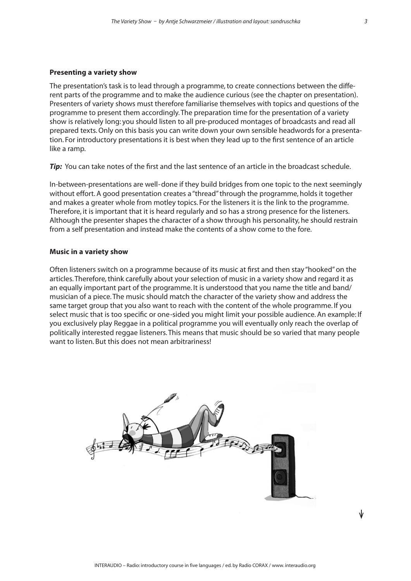#### **Presenting a variety show**

The presentation's task is to lead through a programme, to create connections between the different parts of the programme and to make the audience curious (see the chapter on presentation). Presenters of variety shows must therefore familiarise themselves with topics and questions of the programme to present them accordingly. The preparation time for the presentation of a variety show is relatively long: you should listen to all pre-produced montages of broadcasts and read all prepared texts. Only on this basis you can write down your own sensible headwords for a presentation. For introductory presentations it is best when they lead up to the first sentence of an article like a ramp.

*Tip:* You can take notes of the first and the last sentence of an article in the broadcast schedule.

In-between-presentations are well- done if they build bridges from one topic to the next seemingly without effort. A good presentation creates a "thread" through the programme, holds it together and makes a greater whole from motley topics. For the listeners it is the link to the programme. Therefore, it is important that it is heard regularly and so has a strong presence for the listeners. Although the presenter shapes the character of a show through his personality, he should restrain from a self presentation and instead make the contents of a show come to the fore.

#### **Music in a variety show**

Often listeners switch on a programme because of its music at first and then stay "hooked" on the articles. Therefore, think carefully about your selection of music in a variety show and regard it as an equally important part of the programme. It is understood that you name the title and band/ musician of a piece. The music should match the character of the variety show and address the same target group that you also want to reach with the content of the whole programme. If you select music that is too specific or one -sided you might limit your possible audience. An example: If you exclusively play Reggae in a political programme you will eventually only reach the overlap of politically interested reggae listeners. This means that music should be so varied that many people want to listen. But this does not mean arbitrariness!

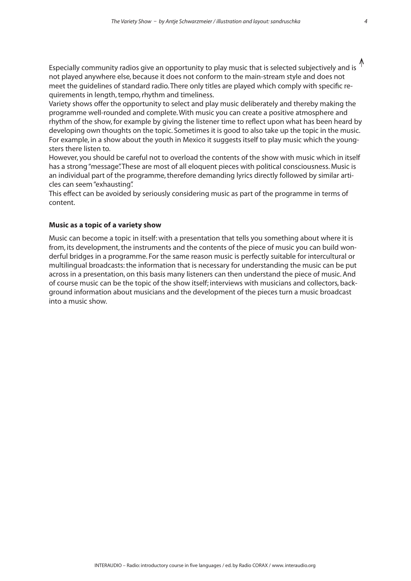Especially community radios give an opportunity to play music that is selected subjectively and is  $\uparrow$ not played anywhere else, because it does not conform to the main-stream style and does not meet the guidelines of standard radio. There only titles are played which comply with specific requirements in length, tempo, rhythm and timeliness.

Variety shows offer the opportunity to select and play music deliberately and thereby making the programme well-rounded and complete. With music you can create a positive atmosphere and rhythm of the show, for example by giving the listener time to reflect upon what has been heard by developing own thoughts on the topic. Sometimes it is good to also take up the topic in the music. For example, in a show about the youth in Mexico it suggests itself to play music which the youngsters there listen to.

However, you should be careful not to overload the contents of the show with music which in itself has a strong "message". These are most of all eloquent pieces with political consciousness. Music is an individual part of the programme, therefore demanding lyrics directly followed by similar articles can seem "exhausting".

This effect can be avoided by seriously considering music as part of the programme in terms of content.

# **Music as a topic of a variety show**

Music can become a topic in itself: with a presentation that tells you something about where it is from, its development, the instruments and the contents of the piece of music you can build wonderful bridges in a programme. For the same reason music is perfectly suitable for intercultural or multilingual broadcasts: the information that is necessary for understanding the music can be put across in a presentation, on this basis many listeners can then understand the piece of music. And of course music can be the topic of the show itself; interviews with musicians and collectors, background information about musicians and the development of the pieces turn a music broadcast into a music show.